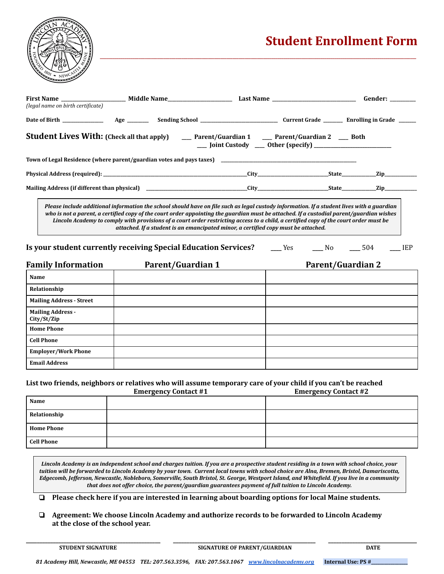

## **Student Enrollment Form**

| (legal name on birth certificate)                                                                                                                                                                                                                                                                                                                                                                                                                                                                                     |  |  |  | Gender: <b>Access</b> |  |  |  |
|-----------------------------------------------------------------------------------------------------------------------------------------------------------------------------------------------------------------------------------------------------------------------------------------------------------------------------------------------------------------------------------------------------------------------------------------------------------------------------------------------------------------------|--|--|--|-----------------------|--|--|--|
|                                                                                                                                                                                                                                                                                                                                                                                                                                                                                                                       |  |  |  |                       |  |  |  |
| <b>Student Lives With:</b> (Check all that apply) _____ Parent/Guardian 1 ____ Parent/Guardian 2 ____ Both<br>__ Joint Custody __ Other (specify) ______________________                                                                                                                                                                                                                                                                                                                                              |  |  |  |                       |  |  |  |
|                                                                                                                                                                                                                                                                                                                                                                                                                                                                                                                       |  |  |  |                       |  |  |  |
|                                                                                                                                                                                                                                                                                                                                                                                                                                                                                                                       |  |  |  |                       |  |  |  |
|                                                                                                                                                                                                                                                                                                                                                                                                                                                                                                                       |  |  |  |                       |  |  |  |
| Please include additional information the school should have on file such as legal custody information. If a student lives with a guardian<br>who is not a parent, a certified copy of the court order appointing the guardian must be attached. If a custodial parent/guardian wishes<br>Lincoln Academy to comply with provisions of a court order restricting access to a child, a certified copy of the court order must be<br>attached. If a student is an emancipated minor, a certified copy must be attached. |  |  |  |                       |  |  |  |

*\_\_\_\_\_\_\_\_\_\_\_\_\_\_\_\_\_\_\_\_\_\_\_\_\_\_\_\_\_\_\_\_\_\_\_\_\_\_\_\_\_\_\_\_\_\_\_\_\_\_\_\_\_\_\_\_\_\_\_\_\_\_\_\_\_\_\_\_\_\_\_\_\_\_\_\_\_\_\_\_\_\_\_\_\_\_\_\_\_\_\_\_\_\_\_\_\_\_\_\_\_\_\_\_\_\_\_\_\_\_\_\_\_\_\_\_\_\_\_\_\_\_\_\_\_\_\_\_\_\_\_\_\_\_\_\_\_\_\_\_\_\_\_\_\_\_\_\_\_\_\_\_\_\_\_*

**Is your student currently receiving Special Education Services? \_\_\_\_** Yes **\_\_\_\_** No **\_\_\_\_** 504 **\_\_\_\_** IEP

| <b>Family Information</b>               | <b>Parent/Guardian 1</b> | <b>Parent/Guardian 2</b> |
|-----------------------------------------|--------------------------|--------------------------|
| Name                                    |                          |                          |
| Relationship                            |                          |                          |
| <b>Mailing Address - Street</b>         |                          |                          |
| <b>Mailing Address -</b><br>City/St/Zip |                          |                          |
| <b>Home Phone</b>                       |                          |                          |
| <b>Cell Phone</b>                       |                          |                          |
| <b>Employer/Work Phone</b>              |                          |                          |
| <b>Email Address</b>                    |                          |                          |

## List two friends, neighbors or relatives who will assume temporary care of your child if you can't be reached<br>Finance Contact #1

|                   | <b>Emergency Contact #1</b> | <b>Emergency Contact #2</b> |
|-------------------|-----------------------------|-----------------------------|
| Name              |                             |                             |
| Relationship      |                             |                             |
| <b>Home Phone</b> |                             |                             |
| <b>Cell Phone</b> |                             |                             |

Lincoln Academy is an independent school and charges tuition. If you are a prospective student residing in a town with school choice, your tuition will be forwarded to Lincoln Academy by your town. Current local towns with school choice are Alna, Bremen, Bristol, Damariscotta, Edgecomb, Jefferson, Newcastle, Nobleboro, Somerville, South Bristol, St. George, Westport Island, and Whitefield. If you live in a community *that does not offer choice, the parent/guardian guarantees payment of full tuition to Lincoln Academy.*

❏ **Please check here if you are interested in learning about boarding options for local Maine students.**

❏ **Agreement: We choose Lincoln Academy and authorize records to be forwarded to Lincoln Academy at the close of the school year.**